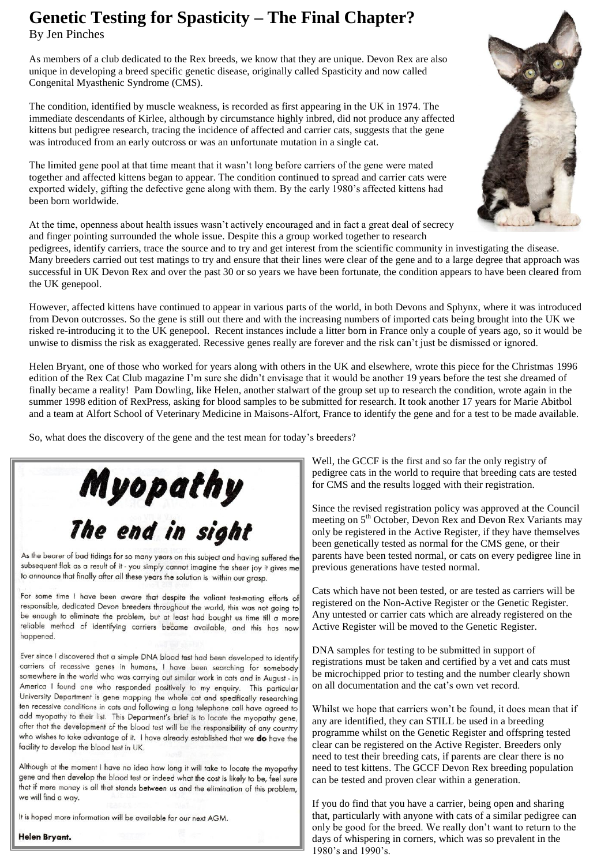## **Genetic Testing for Spasticity – The Final Chapter?**

By Jen Pinches

As members of a club dedicated to the Rex breeds, we know that they are unique. Devon Rex are also unique in developing a breed specific genetic disease, originally called Spasticity and now called Congenital Myasthenic Syndrome (CMS).

The condition, identified by muscle weakness, is recorded as first appearing in the UK in 1974. The immediate descendants of Kirlee, although by circumstance highly inbred, did not produce any affected kittens but pedigree research, tracing the incidence of affected and carrier cats, suggests that the gene was introduced from an early outcross or was an unfortunate mutation in a single cat.

The limited gene pool at that time meant that it wasn't long before carriers of the gene were mated together and affected kittens began to appear. The condition continued to spread and carrier cats were exported widely, gifting the defective gene along with them. By the early 1980's affected kittens had been born worldwide.

At the time, openness about health issues wasn't actively encouraged and in fact a great deal of secrecy and finger pointing surrounded the whole issue. Despite this a group worked together to research

pedigrees, identify carriers, trace the source and to try and get interest from the scientific community in investigating the disease. Many breeders carried out test matings to try and ensure that their lines were clear of the gene and to a large degree that approach was successful in UK Devon Rex and over the past 30 or so years we have been fortunate, the condition appears to have been cleared from the UK genepool.

However, affected kittens have continued to appear in various parts of the world, in both Devons and Sphynx, where it was introduced from Devon outcrosses. So the gene is still out there and with the increasing numbers of imported cats being brought into the UK we risked re-introducing it to the UK genepool. Recent instances include a litter born in France only a couple of years ago, so it would be unwise to dismiss the risk as exaggerated. Recessive genes really are forever and the risk can't just be dismissed or ignored.

Helen Bryant, one of those who worked for years along with others in the UK and elsewhere, wrote this piece for the Christmas 1996 edition of the Rex Cat Club magazine I'm sure she didn't envisage that it would be another 19 years before the test she dreamed of finally became a reality! Pam Dowling, like Helen, another stalwart of the group set up to research the condition, wrote again in the summer 1998 edition of RexPress, asking for blood samples to be submitted for research. It took another 17 years for Marie Abitbol and a team at Alfort School of Veterinary Medicine in Maisons-Alfort, France to identify the gene and for a test to be made available.

So, what does the discovery of the gene and the test mean for today's breeders?



As the bearer of bad tidings for so many years on this subject and having suffered the subsequent flak as a result of it - you simply cannot imagine the sheer joy it gives me to announce that finally after all these years the solution is within our grasp.

For some time I have been aware that despite the valiant test-mating efforts of responsible, dedicated Devon breeders throughout the world, this was not going to be enough to eliminate the problem, but at least had bought us time till a more reliable method of identifying carriers became available, and this has now happened.

Ever since I discovered that a simple DNA blood test had been developed to identify carriers of recessive genes in humans, I have been searching for somebody somewhere in the world who was carrying out similar work in cats and in August - in America I found one who responded positively to my enquiry. This particular University Department is gene mapping the whole cat and specifically researching ten recessive conditions in cats and following a long telephone call have agreed to add myopathy to their list. This Department's brief is to locate the myopathy gene, after that the development of the blood test will be the responsibility of any country who wishes to take advantage of it. I have already established that we do have the facility to develop the blood test in UK.

Although at the moment I have no idea how long it will take to locate the myopathy gene and then develop the blood test or indeed what the cost is likely to be, feel sure that if mere money is all that stands between us and the elimination of this problem, we will find a way.

It is hoped more information will be available for our next AGM.

Helen Bryant.



Well, the GCCF is the first and so far the only registry of pedigree cats in the world to require that breeding cats are tested for CMS and the results logged with their registration.

Since the revised registration policy was approved at the Council meeting on 5<sup>th</sup> October, Devon Rex and Devon Rex Variants may only be registered in the Active Register, if they have themselves been genetically tested as normal for the CMS gene, or their parents have been tested normal, or cats on every pedigree line in previous generations have tested normal.

Cats which have not been tested, or are tested as carriers will be registered on the Non-Active Register or the Genetic Register. Any untested or carrier cats which are already registered on the Active Register will be moved to the Genetic Register.

DNA samples for testing to be submitted in support of registrations must be taken and certified by a vet and cats must be microchipped prior to testing and the number clearly shown on all documentation and the cat's own vet record.

Whilst we hope that carriers won't be found, it does mean that if any are identified, they can STILL be used in a breeding programme whilst on the Genetic Register and offspring tested clear can be registered on the Active Register. Breeders only need to test their breeding cats, if parents are clear there is no need to test kittens. The GCCF Devon Rex breeding population can be tested and proven clear within a generation.

If you do find that you have a carrier, being open and sharing that, particularly with anyone with cats of a similar pedigree can only be good for the breed. We really don't want to return to the days of whispering in corners, which was so prevalent in the 1980's and 1990's.